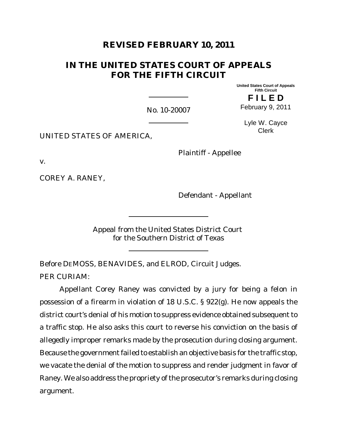# **REVISED FEBRUARY 10, 2011**

# **IN THE UNITED STATES COURT OF APPEALS FOR THE FIFTH CIRCUIT**

**United States Court of Appeals Fifth Circuit F I L E D**

February 9, 2011

No. 10-20007

Lyle W. Cayce Clerk

UNITED STATES OF AMERICA,

Plaintiff - Appellee

v.

COREY A. RANEY,

Defendant - Appellant

Appeal from the United States District Court for the Southern District of Texas

Before DEMOSS, BENAVIDES, and ELROD, Circuit Judges.

PER CURIAM:

Appellant Corey Raney was convicted by a jury for being a felon in possession of a firearm in violation of 18 U.S.C. § 922(g). He now appeals the district court's denial of his motion to suppress evidence obtained subsequent to a traffic stop. He also asks this court to reverse his conviction on the basis of allegedly improper remarks made by the prosecution during closing argument. Because the government failed to establish an objective basis for the traffic stop, we vacate the denial of the motion to suppress and render judgment in favor of Raney. We also address the propriety of the prosecutor's remarks during closing argument.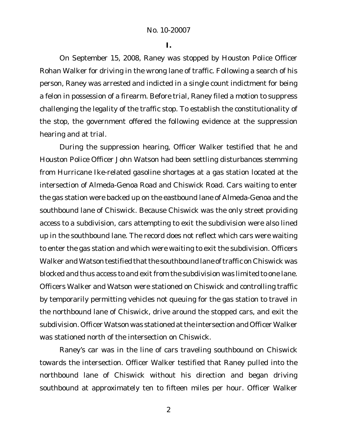**I.**

On September 15, 2008, Raney was stopped by Houston Police Officer Rohan Walker for driving in the wrong lane of traffic. Following a search of his person, Raney was arrested and indicted in a single count indictment for being a felon in possession of a firearm. Before trial, Raney filed a motion to suppress challenging the legality of the traffic stop. To establish the constitutionality of the stop, the government offered the following evidence at the suppression hearing and at trial.

During the suppression hearing, Officer Walker testified that he and Houston Police Officer John Watson had been settling disturbances stemming from Hurricane Ike-related gasoline shortages at a gas station located at the intersection of Almeda-Genoa Road and Chiswick Road. Cars waiting to enter the gas station were backed up on the eastbound lane of Almeda-Genoa and the southbound lane of Chiswick. Because Chiswick was the only street providing access to a subdivision, cars attempting to exit the subdivision were also lined up in the southbound lane. The record does not reflect which cars were waiting to enter the gas station and which were waiting to exit the subdivision. Officers Walker and Watson testified that the southbound lane of traffic on Chiswick was blocked and thus access to and exit from the subdivision was limited to one lane. Officers Walker and Watson were stationed on Chiswick and controlling traffic by temporarily permitting vehicles not queuing for the gas station to travel in the northbound lane of Chiswick, drive around the stopped cars, and exit the subdivision. Officer Watson was stationed at the intersection and Officer Walker was stationed north of the intersection on Chiswick.

Raney's car was in the line of cars traveling southbound on Chiswick towards the intersection. Officer Walker testified that Raney pulled into the northbound lane of Chiswick without his direction and began driving southbound at approximately ten to fifteen miles per hour. Officer Walker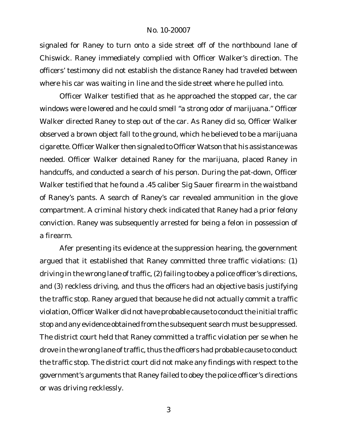signaled for Raney to turn onto a side street off of the northbound lane of Chiswick. Raney immediately complied with Officer Walker's direction. The officers' testimony did not establish the distance Raney had traveled between where his car was waiting in line and the side street where he pulled into.

Officer Walker testified that as he approached the stopped car, the car windows were lowered and he could smell "a strong odor of marijuana." Officer Walker directed Raney to step out of the car. As Raney did so, Officer Walker observed a brown object fall to the ground, which he believed to be a marijuana cigarette. Officer Walker then signaled to Officer Watson that his assistance was needed. Officer Walker detained Raney for the marijuana, placed Raney in handcuffs, and conducted a search of his person. During the pat-down, Officer Walker testified that he found a .45 caliber Sig Sauer firearm in the waistband of Raney's pants. A search of Raney's car revealed ammunition in the glove compartment. A criminal history check indicated that Raney had a prior felony conviction. Raney was subsequently arrested for being a felon in possession of a firearm.

Afer presenting its evidence at the suppression hearing, the government argued that it established that Raney committed three traffic violations: (1) driving in the wrong lane of traffic, (2) failing to obey a police officer's directions, and (3) reckless driving, and thus the officers had an objective basis justifying the traffic stop. Raney argued that because he did not actually commit a traffic violation, Officer Walker did not have probable cause to conductthe initial traffic stop and any evidence obtained from the subsequent search must be suppressed. The district court held that Raney committed a traffic violation per se when he drove in the wrong lane of traffic, thus the officers had probable cause to conduct the traffic stop. The district court did not make any findings with respect to the government's arguments that Raney failed to obey the police officer's directions or was driving recklessly.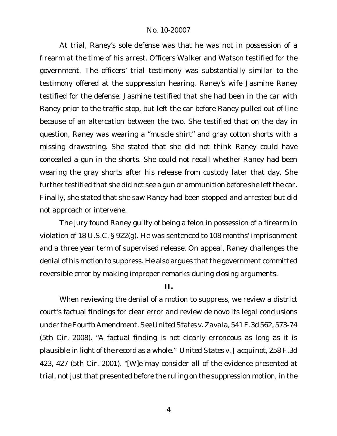At trial, Raney's sole defense was that he was not in possession of a firearm at the time of his arrest. Officers Walker and Watson testified for the government. The officers' trial testimony was substantially similar to the testimony offered at the suppression hearing. Raney's wife Jasmine Raney testified for the defense. Jasmine testified that she had been in the car with Raney prior to the traffic stop, but left the car before Raney pulled out of line because of an altercation between the two. She testified that on the day in question, Raney was wearing a "muscle shirt" and gray cotton shorts with a missing drawstring. She stated that she did not think Raney could have concealed a gun in the shorts. She could not recall whether Raney had been wearing the gray shorts after his release from custody later that day. She further testified that she did not see a gun or ammunition before she left the car. Finally, she stated that she saw Raney had been stopped and arrested but did not approach or intervene.

The jury found Raney guilty of being a felon in possession of a firearm in violation of 18 U.S.C. § 922(g). He was sentenced to 108 months' imprisonment and a three year term of supervised release. On appeal, Raney challenges the denial of his motion to suppress. He also argues that the government committed reversible error by making improper remarks during closing arguments.

**II.**

When reviewing the denial of a motion to suppress, we review a district court's factual findings for clear error and review de novo its legal conclusions under theFourth Amendment. *See UnitedStates v.Zavala*, 541F.3d 562, 573-74 (5th Cir. 2008). "A factual finding is not clearly erroneous as long as it is plausible in light of the record as a whole." *United States v. Jacquinot*, 258 F.3d 423, 427 (5th Cir. 2001). "[W]e may consider all of the evidence presented at trial, not just that presented before the ruling on the suppression motion, in the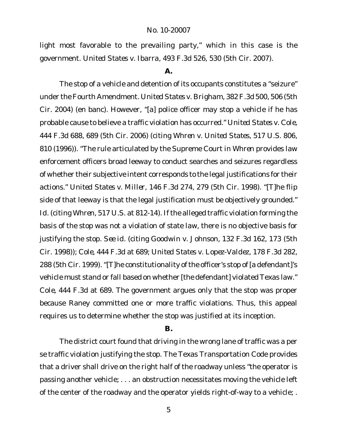light most favorable to the prevailing party," which in this case is the government. *United States v. Ibarra*, 493 F.3d 526, 530 (5th Cir. 2007).

#### **A.**

The stop of a vehicle and detention of its occupants constitutes a "seizure" under the Fourth Amendment. *United States v. Brigham*, 382 F.3d 500, 506 (5th Cir. 2004) (en banc). However, "[a] police officer may stop a vehicle if he has probable cause to believe a traffic violation has occurred." *United States v. Cole*, 444 F.3d 688, 689 (5th Cir. 2006) (citing *Whren v. United States*, 517 U.S. 806, 810 (1996)). "The rule articulated by the Supreme Court in *Whren* provides law enforcement officers broad leeway to conduct searches and seizures regardless of whether their subjective intent corresponds to the legal justifications for their actions." *United States v. Miller*, 146 F.3d 274, 279 (5th Cir. 1998). "[T]he flip side of that leeway is that the legal justification must be objectively grounded." *Id*. (citing *Whren*, 517 U.S. at 812-14). If the alleged traffic violation forming the basis of the stop was not a violation of state law, there is no objective basis for justifying the stop. *See id.* (citing *Goodwin v. Johnson*, 132 F.3d 162, 173 (5th Cir. 1998)); *Cole*, 444 F.3d at 689; *United States v. Lopez-Valdez*, 178 F.3d 282, 288 (5th Cir. 1999). "[T]he constitutionality of the officer's stop of [a defendant]'s vehicle must stand or fall based on whether [the defendant] violated Texas law." *Cole*, 444 F.3d at 689. The government argues only that the stop was proper because Raney committed one or more traffic violations. Thus, this appeal requires us to determine whether the stop was justified at its inception.

#### **B.**

The district court found that driving in the wrong lane of traffic was a per se traffic violation justifying the stop. The Texas Transportation Code provides that a driver shall drive on the right half of the roadway unless "the operator is passing another vehicle; . . . an obstruction necessitates moving the vehicle left of the center of the roadway and the operator yields right-of-way to a vehicle; .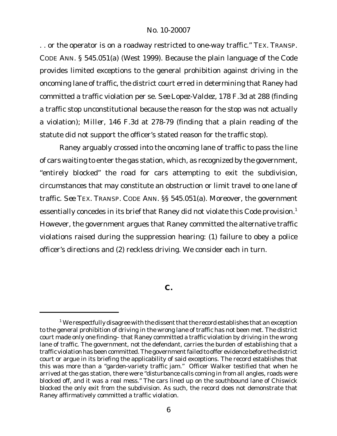. . or the operator is on a roadway restricted to one-way traffic." TEX. TRANSP. CODE ANN. § 545.051(a) (West 1999). Because the plain language of the Code provides limited exceptions to the general prohibition against driving in the oncoming lane of traffic, the district court erred in determining that Raney had committed a traffic violation per se. *See Lopez-Valdez*, 178 F.3d at 288 (finding a traffic stop unconstitutional because the reason for the stop was not actually a violation); *Miller*, 146 F.3d at 278-79 (finding that a plain reading of the statute did not support the officer's stated reason for the traffic stop).

Raney arguably crossed into the oncoming lane of traffic to pass the line of cars waiting to enter the gas station, which, as recognized by the government, "entirely blocked" the road for cars attempting to exit the subdivision, circumstances that may constitute an obstruction or limit travel to one lane of traffic. *See* TEX. TRANSP. CODE ANN. §§ 545.051(a). Moreover, the government essentially concedes in its brief that Raney did not violate this Code provision.<sup>1</sup> However, the government argues that Raney committed the alternative traffic violations raised during the suppression hearing: (1) failure to obey a police officer's directions and (2) reckless driving. We consider each in turn.

**C.**

 $1$  We respectfully disagree with the dissent that the record establishes that an exception to the general prohibition of driving in the wrong lane of traffic has not been met. The district court made only one finding– that Raney committed a traffic violation by driving in the wrong lane of traffic. The government, not the defendant, carries the burden of establishing that a traffic violation has been committed. The government failed to offer evidence before the district court or argue in its briefing the applicability of said exceptions. The record establishes that this was more than a "garden-variety traffic jam." Officer Walker testified that when he arrived at the gas station, there were "disturbance calls coming in from all angles, roads were blocked off, and it was a real mess." The cars lined up on the southbound lane of Chiswick blocked the only exit from the subdivision. As such, the record does not demonstrate that Raney affirmatively committed a traffic violation.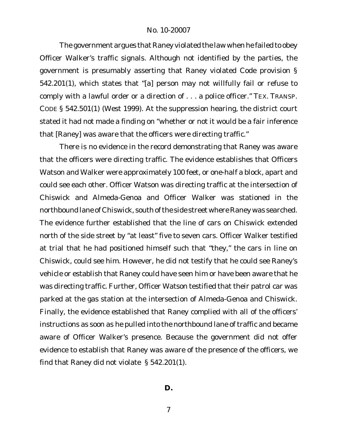The government argues that Raney violated the law when he failed to obey Officer Walker's traffic signals. Although not identified by the parties, the government is presumably asserting that Raney violated Code provision § 542.201(1), which states that "[a] person may not willfully fail or refuse to comply with a lawful order or a direction of . . . a police officer." TEX. TRANSP. CODE § 542.501(1) (West 1999). At the suppression hearing, the district court stated it had not made a finding on "whether or not it would be a fair inference that [Raney] was aware that the officers were directing traffic."

There is no evidence in the record demonstrating that Raney was aware that the officers were directing traffic. The evidence establishes that Officers Watson and Walker were approximately 100 feet, or one-half a block, apart and could see each other. Officer Watson was directing traffic at the intersection of Chiswick and Almeda-Genoa and Officer Walker was stationed in the northbound lane of Chiswick, south of the side street where Raney was searched. The evidence further established that the line of cars on Chiswick extended north of the side street by "at least" five to seven cars. Officer Walker testified at trial that he had positioned himself such that "they," the cars in line on Chiswick, could see him. However, he did not testify that he could see Raney's vehicle or establish that Raney could have seen him or have been aware that he was directing traffic. Further, Officer Watson testified that their patrol car was parked at the gas station at the intersection of Almeda-Genoa and Chiswick. Finally, the evidence established that Raney complied with all of the officers' instructions as soon as he pulled into the northbound lane of traffic and became aware of Officer Walker's presence. Because the government did not offer evidence to establish that Raney was aware of the presence of the officers, we find that Raney did not violate § 542.201(1).

**D.**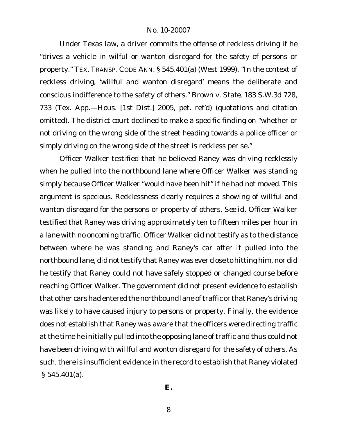Under Texas law, a driver commits the offense of reckless driving if he "drives a vehicle in wilful or wanton disregard for the safety of persons or property." TEX. TRANSP. CODE ANN. § 545.401(a) (West 1999). "In the context of reckless driving, 'willful and wanton disregard' means the deliberate and conscious indifference to the safety of others." *Brown v. State*, 183 S.W.3d 728, 733 (Tex. App.—Hous. [1st Dist.] 2005, pet. ref'd) (quotations and citation omitted). The district court declined to make a specific finding on "whether or not driving on the wrong side of the street heading towards a police officer or simply driving on the wrong side of the street is reckless per se."

Officer Walker testified that he believed Raney was driving recklessly when he pulled into the northbound lane where Officer Walker was standing simply because Officer Walker "would have been hit" if he had not moved. This argument is specious. Recklessness clearly requires a showing of willful and wanton disregard for the persons or property of others. *See id*. Officer Walker testified that Raney was driving approximately ten to fifteen miles per hour in a lane with no oncoming traffic. Officer Walker did not testify as to the distance between where he was standing and Raney's car after it pulled into the northbound lane, did not testify that Raney was ever close to hitting him, nor did he testify that Raney could not have safely stopped or changed course before reaching Officer Walker. The government did not present evidence to establish that other cars had entered the northbound lane of traffic or that Raney's driving was likely to have caused injury to persons or property. Finally, the evidence does not establish that Raney was aware that the officers were directing traffic at the time he initially pulled into the opposing lane of traffic and thus could not have been driving with willful and wonton disregard for the safety of others. As such, there is insufficient evidence in the record to establish that Raney violated § 545.401(a).

**E.**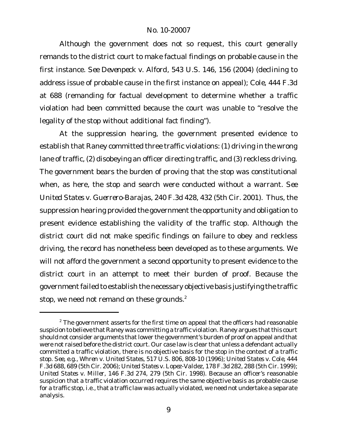Although the government does not so request, this court generally remands to the district court to make factual findings on probable cause in the first instance. *See Devenpeck v. Alford*, 543 U.S. 146, 156 (2004) (declining to address issue of probable cause in the first instance on appeal); *Cole,* 444 F.3d at 688 (remanding for factual development to determine whether a traffic violation had been committed because the court was unable to "resolve the legality of the stop without additional fact finding").

At the suppression hearing, the government presented evidence to establish that Raney committed three traffic violations: (1) driving in the wrong lane of traffic, (2) disobeying an officer directing traffic, and (3) reckless driving. The government bears the burden of proving that the stop was constitutional when, as here, the stop and search were conducted without a warrant. *See United States v. Guerrero-Barajas*, 240 F.3d 428, 432 (5th Cir. 2001). Thus, the suppression hearing provided the government the opportunity and obligation to present evidence establishing the validity of the traffic stop. Although the district court did not make specific findings on failure to obey and reckless driving, the record has nonetheless been developed as to these arguments. We will not afford the government a second opportunity to present evidence to the district court in an attempt to meet their burden of proof. Because the government failed to establish the necessary objective basis justifying the traffic stop, we need not remand on these grounds.<sup>2</sup>

 $2$  The government asserts for the first time on appeal that the officers had reasonable suspicion to believe that Raney was committing a traffic violation. Raney argues that this court should not consider arguments that lower the government's burden of proof on appeal and that were not raised before the district court. Our case law is clear that unless a defendant actually committed a traffic violation, there is no objective basis for the stop in the context of a traffic stop. *See, e.g.*, *Whren v. United States*, 517 U.S. 806, 808-10 (1996); *United States v. Cole*, 444 F.3d 688, 689 (5th Cir. 2006); *United States v. Lopez-Valdez*, 178 F.3d 282, 288 (5th Cir. 1999); *United States v. Miller*, 146 F.3d 274, 279 (5th Cir. 1998)*.* Because an officer's reasonable suspicion that a traffic violation occurred requires the same objective basis as probable cause for a traffic stop, i.e., that a traffic law was actually violated, we need not undertake a separate analysis.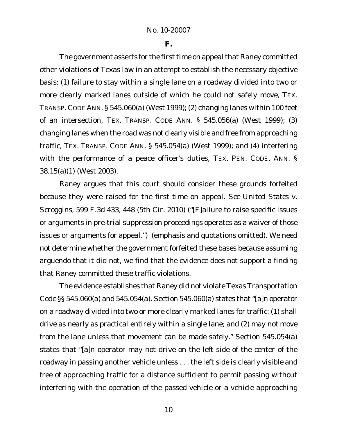**F.**

The government asserts for the first time on appeal that Raney committed other violations of Texas law in an attempt to establish the necessary objective basis: (1) failure to stay within a single lane on a roadway divided into two or more clearly marked lanes outside of which he could not safely move, TEX. TRANSP. CODE ANN. § 545.060(a) (West 1999); (2) changing lanes within 100 feet of an intersection, TEX. TRANSP. CODE ANN. § 545.056(a) (West 1999); (3) changing lanes when the road was not clearly visible and free from approaching traffic, TEX. TRANSP. CODE ANN. § 545.054(a) (West 1999); and (4) interfering with the performance of a peace officer's duties, TEX. PEN. CODE. ANN. § 38.15(a)(1) (West 2003).

Raney argues that this court should consider these grounds forfeited because they were raised for the first time on appeal. *See United States v. Scroggins*, 599 F.3d 433, 448 (5th Cir. 2010) ("[F]ailure to raise specific issues or arguments in pre-trial suppression proceedings operates as a waiver of those issues or arguments for appeal.") (emphasis and quotations omitted). We need not determine whether the government forfeited these bases because assuming arguendo that it did not, we find that the evidence does not support a finding that Raney committed these traffic violations.

The evidence establishes that Raney did not violate Texas Transportation Code §§ 545.060(a) and 545.054(a). Section 545.060(a) states that "[a]n operator on a roadway divided into two or more clearly marked lanes for traffic: (1) shall drive as nearly as practical entirely within a single lane; and (2) may not move from the lane unless that movement can be made safely." Section 545.054(a) states that "[a]n operator may not drive on the left side of the center of the roadway in passing another vehicle unless . . . the left side is clearly visible and free of approaching traffic for a distance sufficient to permit passing without interfering with the operation of the passed vehicle or a vehicle approaching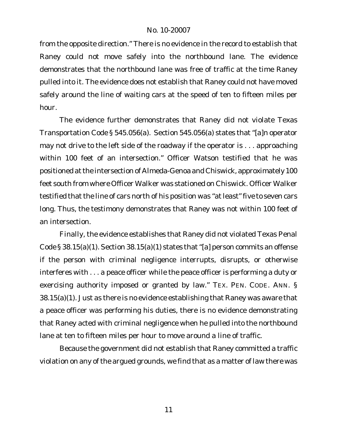from the opposite direction." There is no evidence in the record to establish that Raney could not move safely into the northbound lane. The evidence demonstrates that the northbound lane was free of traffic at the time Raney pulled into it. The evidence does not establish that Raney could not have moved safely around the line of waiting cars at the speed of ten to fifteen miles per hour.

The evidence further demonstrates that Raney did not violate Texas Transportation Code § 545.056(a). Section 545.056(a) states that "[a]n operator may not drive to the left side of the roadway if the operator is . . . approaching within 100 feet of an intersection." Officer Watson testified that he was positioned atthe intersection of Almeda-Genoa and Chiswick, approximately 100 feet south from where Officer Walker was stationed on Chiswick. Officer Walker testified that the line of cars north of his position was "at least" five to seven cars long. Thus, the testimony demonstrates that Raney was not within 100 feet of an intersection.

Finally, the evidence establishes that Raney did not violated Texas Penal Code § 38.15(a)(1). Section 38.15(a)(1) states that "[a] person commits an offense if the person with criminal negligence interrupts, disrupts, or otherwise interferes with . . . a peace officer while the peace officer is performing a duty or exercising authority imposed or granted by law." TEX. PEN. CODE. ANN. § 38.15(a)(1). Just as there is no evidence establishing that Raney was aware that a peace officer was performing his duties, there is no evidence demonstrating that Raney acted with criminal negligence when he pulled into the northbound lane at ten to fifteen miles per hour to move around a line of traffic.

Because the government did not establish that Raney committed a traffic violation on any of the argued grounds, we find that as a matter of law there was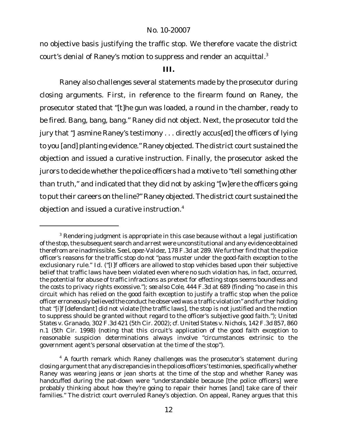no objective basis justifying the traffic stop. We therefore vacate the district court's denial of Raney's motion to suppress and render an acquittal. $3$ 

## **III.**

Raney also challenges several statements made by the prosecutor during closing arguments. First, in reference to the firearm found on Raney, the prosecutor stated that "[t]he gun was loaded, a round in the chamber, ready to be fired. Bang, bang, bang." Raney did not object. Next, the prosecutor told the jury that "Jasmine Raney's testimony . . . directly accus[ed] the officers of lying to you [and] planting evidence." Raney objected. The district court sustained the objection and issued a curative instruction. Finally, the prosecutor asked the jurors to decide whether the police officers had a motive to "tell something other than truth," and indicated that they did not by asking "[w]ere the officers going to put their careers on the line?" Raney objected. The district court sustained the objection and issued a curative instruction.4

<sup>&</sup>lt;sup>3</sup> Rendering judgment is appropriate in this case because without a legal justification of the stop, the subsequent search and arrest were unconstitutional and any evidence obtained therefrom are inadmissible. *See Lopez-Valdez*, 178 F.3d at 289. We further find that the police officer's reasons for the traffic stop do not "pass muster under the good-faith exception to the exclusionary rule." *Id*. ("[I]f officers are allowed to stop vehicles based upon their subjective belief that traffic laws have been violated even where no such violation has, in fact, occurred, the potential for abuse of traffic infractions as pretext for effecting stops seems boundless and the costs to privacy rights excessive."); *see also Cole*, 444 F.3d at 689 (finding "no case in this circuit which has relied on the good faith exception to justify a traffic stop when the police officer erroneously believed the conduct he observed was a traffic violation" and further holding that "[i]f [defendant] did not violate [the traffic laws], the stop is not justified and the motion to suppress should be granted without regard to the officer's subjective good faith."); *United States v. Granado*, 302 F.3d 421 (5th Cir. 2002); *cf. United States v. Nichols*, 142 F.3d 857, 860 n.1 (5th Cir. 1998) (noting that this circuit's application of the good faith exception to reasonable suspicion determinations always involve "circumstances extrinsic to the government agent's personal observation at the time of the stop").

<sup>&</sup>lt;sup>4</sup> A fourth remark which Raney challenges was the prosecutor's statement during closing argument that any discrepancies in the polices officers' testimonies, specifically whether Raney was wearing jeans or jean shorts at the time of the stop and whether Raney was handcuffed during the pat-down were "understandable because [the police officers] were probably thinking about how they're going to repair their homes [and] take care of their families." The district court overruled Raney's objection. On appeal, Raney argues that this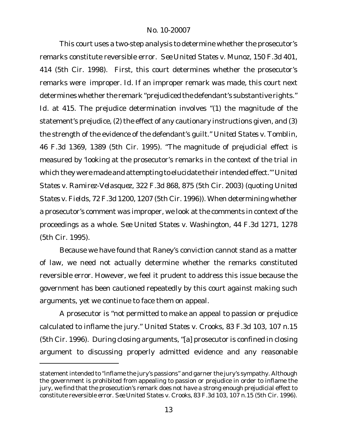This court uses a two-step analysis to determine whether the prosecutor's remarks constitute reversible error. *See United States v. Munoz*, 150 F.3d 401, 414 (5th Cir. 1998). First, this court determines whether the prosecutor's remarks were improper. *Id*. If an improper remark was made, this court next determines whether the remark "prejudiced the defendant's substantive rights." *Id*. at 415. The prejudice determination involves "(1) the magnitude of the statement's prejudice, (2) the effect of any cautionary instructions given, and (3) the strength of the evidence of the defendant's guilt." *United States v. Tomblin*, 46 F.3d 1369, 1389 (5th Cir. 1995). "The magnitude of prejudicial effect is measured by 'looking at the prosecutor's remarks in the context of the trial in which they were made and attempting to elucidate their intended effect.'" *United States v. Ramirez-Velasquez*, 322 F.3d 868, 875 (5th Cir. 2003) (quoting *United States v. Fields*, 72 F.3d 1200, 1207 (5th Cir. 1996)). When determining whether a prosecutor's comment was improper, we look at the comments in context of the proceedings as a whole. *See United States v. Washington*, 44 F.3d 1271, 1278 (5th Cir. 1995).

Because we have found that Raney's conviction cannot stand as a matter of law, we need not actually determine whether the remarks constituted reversible error. However, we feel it prudent to address this issue because the government has been cautioned repeatedly by this court against making such arguments, yet we continue to face them on appeal.

A prosecutor is "not permitted to make an appeal to passion or prejudice calculated to inflame the jury." *United States v. Crooks*, 83 F.3d 103, 107 n.15 (5th Cir. 1996). During closing arguments, "[a] prosecutor is confined in closing argument to discussing properly admitted evidence and any reasonable

statement intended to "inflame the jury's passions" and garner the jury's sympathy. Although the government is prohibited from appealing to passion or prejudice in order to inflame the jury, we find that the prosecution's remark does not have a strong enough prejudicial effect to constitute reversible error. *See United States v. Crooks*, 83 F.3d 103, 107 n.15 (5th Cir. 1996).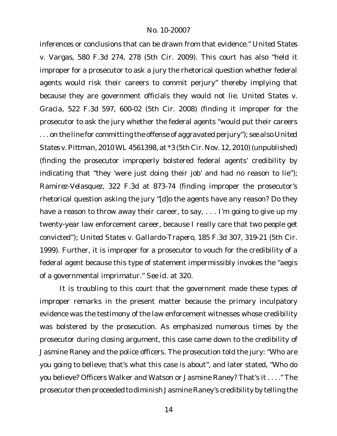inferences or conclusions that can be drawn from that evidence." *United States v. Vargas*, 580 F.3d 274, 278 (5th Cir. 2009). This court has also "held it improper for a prosecutor to ask a jury the rhetorical question whether federal agents would risk their careers to commit perjury" thereby implying that because they are government officials they would not lie. *United States v. Gracia*, 522 F.3d 597, 600-02 (5th Cir. 2008) (finding it improper for the prosecutor to ask the jury whether the federal agents "would put their careers . . . on the line for committing the offense of aggravated perjury"); *see also United States v. Pittman*, 2010 WL 4561398, at \*3 (5th Cir. Nov. 12, 2010) (unpublished) (finding the prosecutor improperly bolstered federal agents' credibility by indicating that "they 'were just doing their job' and had no reason to lie"); *Ramirez-Velasquez*, 322 F.3d at 873-74 (finding improper the prosecutor's rhetorical question asking the jury "[d]o the agents have any reason? Do they have a reason to throw away their career, to say, . . . I'm going to give up my twenty-year law enforcement career, because I really care that two people get convicted"); *United States v. Gallardo-Trapero*, 185 F.3d 307, 319-21 (5th Cir. 1999). Further, it is improper for a prosecutor to vouch for the credibility of a federal agent because this type of statement impermissibly invokes the "aegis of a governmental imprimatur." *See id.* at 320.

It is troubling to this court that the government made these types of improper remarks in the present matter because the primary inculpatory evidence was the testimony of the law enforcement witnesses whose credibility was bolstered by the prosecution. As emphasized numerous times by the prosecutor during closing argument, this case came down to the credibility of Jasmine Raney and the police officers. The prosecution told the jury: "Who are you going to believe; that's what this case is about", and later stated, "Who do you believe? Officers Walker and Watson or Jasmine Raney? That's it . . . ." The prosecutor then proceeded to diminish Jasmine Raney's credibility by telling the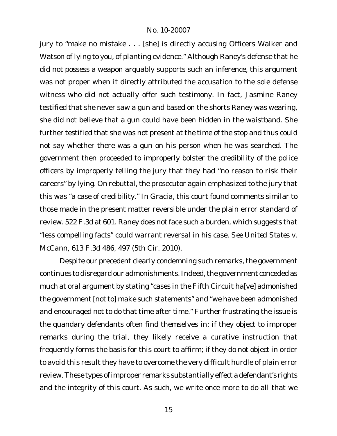jury to "make no mistake . . . [she] is directly accusing Officers Walker and Watson of lying to you, of planting evidence." Although Raney's defense that he did not possess a weapon arguably supports such an inference, this argument was not proper when it directly attributed the accusation to the sole defense witness who did not actually offer such testimony. In fact, Jasmine Raney testified that she never saw a gun and based on the shorts Raney was wearing, she did not believe that a gun could have been hidden in the waistband. She further testified that she was not present at the time of the stop and thus could not say whether there was a gun on his person when he was searched. The government then proceeded to improperly bolster the credibility of the police officers by improperly telling the jury that they had "no reason to risk their careers" by lying. On rebuttal, the prosecutor again emphasized to the jury that this was "a case of credibility." In *Gracia*, this court found comments similar to those made in the present matter reversible under the plain error standard of review. 522 F.3d at 601. Raney does not face such a burden, which suggests that "less compelling facts" could warrant reversal in his case. *See United States v. McCann*, 613 F.3d 486, 497 (5th Cir. 2010).

Despite our precedent clearly condemning such remarks, the government continues to disregard our admonishments. Indeed, the government conceded as much at oral argument by stating "cases in the Fifth Circuit ha[ve] admonished the government [not to] make such statements" and "we have been admonished and encouraged not to do that time after time." Further frustrating the issue is the quandary defendants often find themselves in: if they object to improper remarks during the trial, they likely receive a curative instruction that frequently forms the basis for this court to affirm; if they do not object in order to avoid this result they have to overcome the very difficult hurdle of plain error review. These types of improper remarks substantially effect a defendant's rights and the integrity of this court. As such, we write once more to do all that we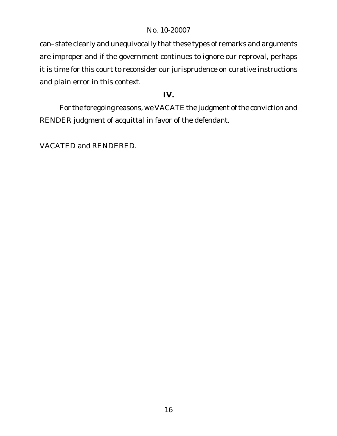can–state clearly and unequivocally that these types of remarks and arguments are improper and if the government continues to ignore our reproval, perhaps it is time for this court to reconsider our jurisprudence on curative instructions and plain error in this context.

**IV.**

For the foregoing reasons, we VACATE the judgment of the conviction and RENDER judgment of acquittal in favor of the defendant.

VACATED and RENDERED.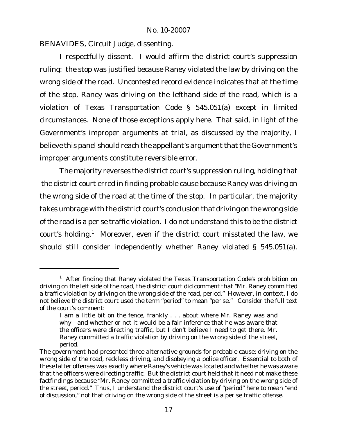BENAVIDES, Circuit Judge, dissenting.

I respectfully dissent. I would affirm the district court's suppression ruling: the stop was justified because Raney violated the law by driving on the wrong side of the road. Uncontested record evidence indicates that at the time of the stop, Raney was driving on the lefthand side of the road, which is a violation of Texas Transportation Code § 545.051(a) except in limited circumstances. None of those exceptions apply here. That said, in light of the Government's improper arguments at trial, as discussed by the majority, I believe this panel should reach the appellant's argument that the Government's improper arguments constitute reversible error.

The majority reverses the district court's suppression ruling, holding that the district court erred in finding probable cause because Raney was driving on the wrong side of the road at the time of the stop. In particular, the majority takes umbrage with the district court's conclusion that driving on the wrong side of the road is a per se traffic violation. I do not understand this to be the district court's holding.<sup>1</sup> Moreover, even if the district court misstated the law, we should still consider independently whether Raney violated § 545.051(a).

<sup>&</sup>lt;sup>1</sup> After finding that Raney violated the Texas Transportation Code's prohibition on driving on the left side of the road, the district court did comment that "Mr. Raney committed a traffic violation by driving on the wrong side of the road, period." However, in context, I do not believe the district court used the term "period" to mean "per se." Consider the full text of the court's comment:

I am a little bit on the fence, frankly . . . about where Mr. Raney was and why—and whether or not it would be a fair inference that he was aware that the officers were directing traffic, but I don't believe I need to get there. Mr. Raney committed a traffic violation by driving on the wrong side of the street, period.

The government had presented three alternative grounds for probable cause: driving on the wrong side of the road, reckless driving, and disobeying a police officer. Essential to both of these latter offenses was exactly where Raney's vehicle was located and whether he was aware that the officers were directing traffic. But the district court held that it need not make these factfindings because "Mr. Raney committed a traffic violation by driving on the wrong side of the street, period." Thus, I understand the district court's use of "period" here to mean "end of discussion," not that driving on the wrong side of the street is a per se traffic offense.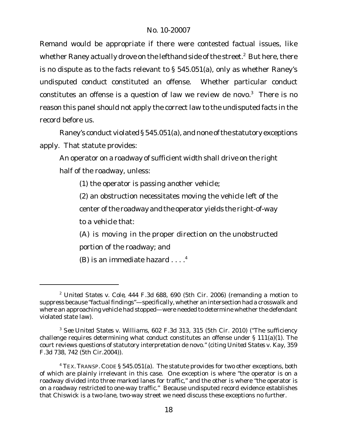Remand would be appropriate if there were contested factual issues, like whether Raney actually drove on the lefthand side of the street. $<sup>2</sup>$  But here, there</sup> is no dispute as to the facts relevant to § 545.051(a), only as whether Raney's undisputed conduct constituted an offense. Whether particular conduct constitutes an offense is a question of law we review de novo. $3$  There is no reason this panel should not apply the correct law to the undisputed facts in the record before us.

Raney's conduct violated § 545.051(a), and none of the statutory exceptions apply. That statute provides:

An operator on a roadway of sufficient width shall drive on the right half of the roadway, unless:

(1) the operator is passing another vehicle;

(2) an obstruction necessitates moving the vehicle left of the center of the roadway and the operator yields the right-of-way to a vehicle that:

(A) is moving in the proper direction on the unobstructed portion of the roadway; and

(B) is an immediate hazard  $\dots$ .<sup>4</sup>

<sup>2</sup> *United States v. Cole*, 444 F.3d 688, 690 (5th Cir. 2006) (remanding a motion to suppress because "factual findings"—specifically, whether an intersection had a crosswalk and where an approaching vehicle had stopped—were needed to determine whether the defendant violated state law).

<sup>3</sup> *See United States v. Williams*, 602 F.3d 313, 315 (5th Cir. 2010) ("The sufficiency challenge requires determining what conduct constitutes an offense under § 111(a)(1). The court reviews questions of statutory interpretation de novo." (citing *United States v. Kay*, 359 F.3d 738, 742 (5th Cir.2004)).

 $4$  TEX. TRANSP. CODE § 545.051(a). The statute provides for two other exceptions, both of which are plainly irrelevant in this case. One exception is where "the operator is on a roadway divided into three marked lanes for traffic," and the other is where "the operator is on a roadway restricted to one-way traffic." Because undisputed record evidence establishes that Chiswick is a two-lane, two-way street we need discuss these exceptions no further.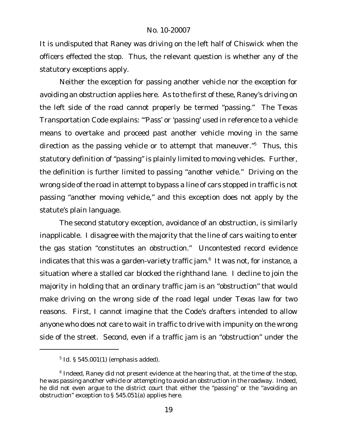It is undisputed that Raney was driving on the left half of Chiswick when the officers effected the stop. Thus, the relevant question is whether any of the statutory exceptions apply.

Neither the exception for passing another vehicle nor the exception for avoiding an obstruction applies here. As to the first of these, Raney's driving on the left side of the road cannot properly be termed "passing." The Texas Transportation Code explains: "'Pass' or 'passing' used in reference to a vehicle means to overtake and proceed past another vehicle *moving* in the same direction as the passing vehicle or to attempt that maneuver."<sup>5</sup> Thus, this statutory definition of "passing" is plainly limited to *moving* vehicles. Further, the definition is further limited to passing "*another* vehicle." Driving on the wrong side of the road in attempt to bypass a line of cars stopped in traffic is not passing "another moving vehicle," and this exception does not apply by the statute's plain language.

The second statutory exception, avoidance of an obstruction, is similarly inapplicable. I disagree with the majority that the line of cars waiting to enter the gas station "constitutes an obstruction." Uncontested record evidence indicates that this was a garden-variety traffic jam.<sup>6</sup> It was not, for instance, a situation where a stalled car blocked the righthand lane. I decline to join the majority in holding that an ordinary traffic jam is an "obstruction" that would make driving on the wrong side of the road legal under Texas law for two reasons. First, I cannot imagine that the Code's drafters intended to allow anyone who does not care to wait in traffic to drive with impunity on the wrong side of the street. Second, even if a traffic jam is an "obstruction" under the

<sup>5</sup> *Id.* § 545.001(1) (emphasis added).

 $^6$  Indeed, Raney did not present evidence at the hearing that, at the time of the stop, he was passing another vehicle or attempting to avoid an obstruction in the roadway. Indeed, he did not even *argue* to the district court that either the "passing" or the "avoiding an obstruction" exception to § 545.051(a) applies here.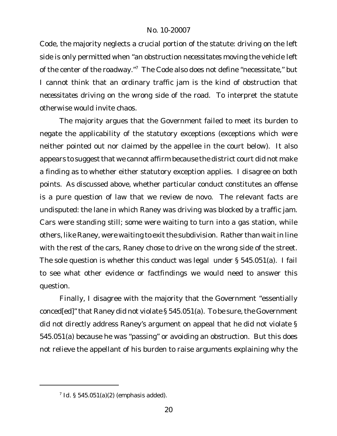Code, the majority neglects a crucial portion of the statute: driving on the left side is only permitted when "an obstruction *necessitates* moving the vehicle left of the center of the roadway."<sup>7</sup> The Code also does not define "necessitate," but I cannot think that an ordinary traffic jam is the kind of obstruction that *necessitates* driving on the wrong side of the road. To interpret the statute otherwise would invite chaos.

The majority argues that the Government failed to meet its burden to negate the applicability of the statutory exceptions (exceptions which were neither pointed out nor claimed by the appellee in the court below). It also appears to suggest that we cannot affirm because the district court did not make a finding as to whether either statutory exception applies. I disagree on both points. As discussed above, whether particular conduct constitutes an offense is a pure question of law that we review de novo. The relevant facts are undisputed: the lane in which Raney was driving was blocked by a traffic jam. Cars were standing still; some were waiting to turn into a gas station, while others, like Raney, were waiting to exit the subdivision. Rather than wait in line with the rest of the cars, Raney chose to drive on the wrong side of the street. The sole question is whether this conduct was legal under § 545.051(a). I fail to see what other evidence or factfindings we would need to answer this question.

Finally, I disagree with the majority that the Government "essentially conced[ed]" that Raney did not violate § 545.051(a). To be sure, the Government did not directly address Raney's argument on appeal that he did not violate § 545.051(a) because he was "passing" or avoiding an obstruction. But this does not relieve the appellant of his burden to raise arguments explaining why the

<sup>7</sup> *Id.* § 545.051(a)(2) (emphasis added).